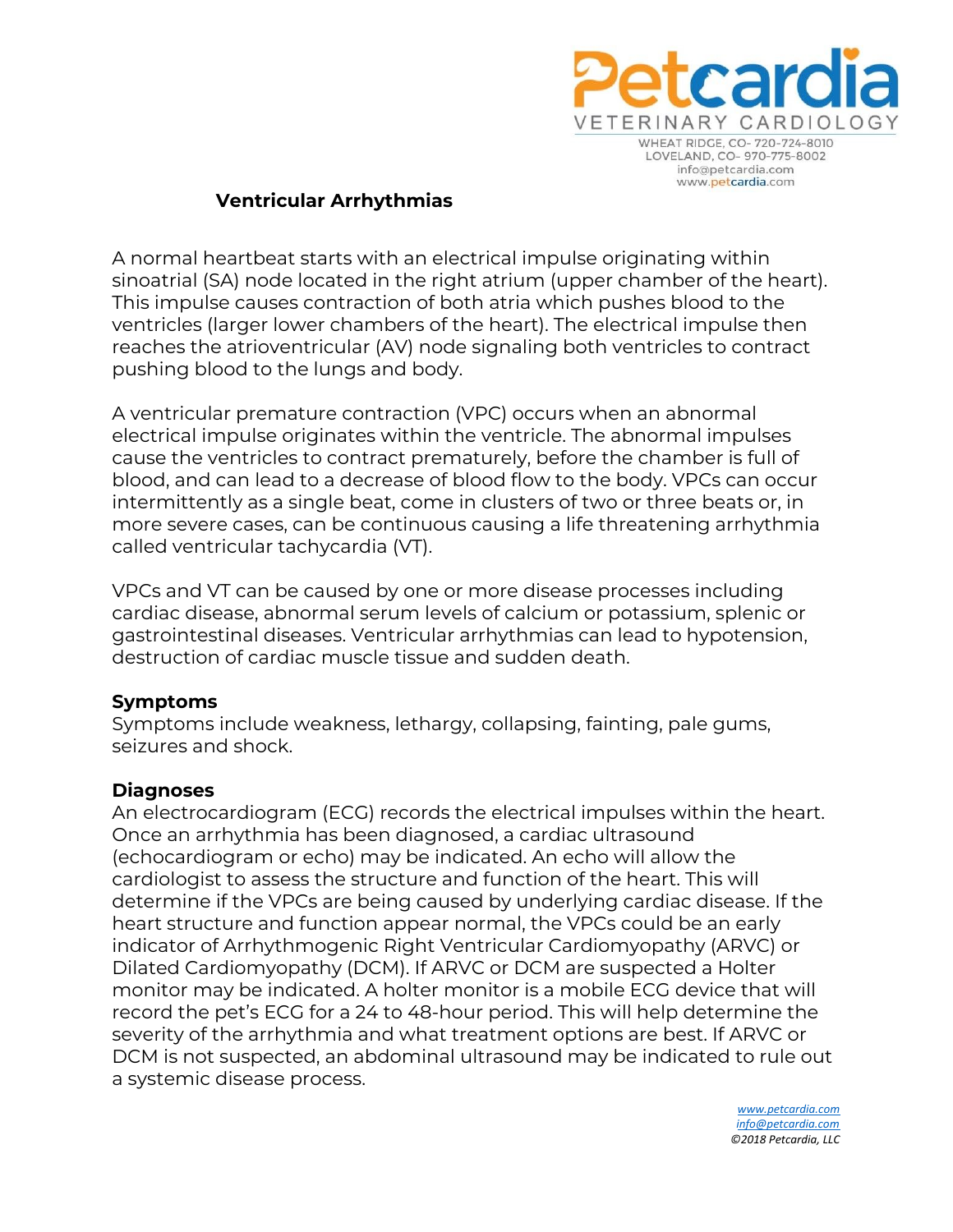

## **Ventricular Arrhythmias**

A normal heartbeat starts with an electrical impulse originating within sinoatrial (SA) node located in the right atrium (upper chamber of the heart). This impulse causes contraction of both atria which pushes blood to the ventricles (larger lower chambers of the heart). The electrical impulse then reaches the atrioventricular (AV) node signaling both ventricles to contract pushing blood to the lungs and body.

A ventricular premature contraction (VPC) occurs when an abnormal electrical impulse originates within the ventricle. The abnormal impulses cause the ventricles to contract prematurely, before the chamber is full of blood, and can lead to a decrease of blood flow to the body. VPCs can occur intermittently as a single beat, come in clusters of two or three beats or, in more severe cases, can be continuous causing a life threatening arrhythmia called ventricular tachycardia (VT).

VPCs and VT can be caused by one or more disease processes including cardiac disease, abnormal serum levels of calcium or potassium, splenic or gastrointestinal diseases. Ventricular arrhythmias can lead to hypotension, destruction of cardiac muscle tissue and sudden death.

## **Symptoms**

Symptoms include weakness, lethargy, collapsing, fainting, pale gums, seizures and shock.

## **Diagnoses**

An electrocardiogram (ECG) records the electrical impulses within the heart. Once an arrhythmia has been diagnosed, a cardiac ultrasound (echocardiogram or echo) may be indicated. An echo will allow the cardiologist to assess the structure and function of the heart. This will determine if the VPCs are being caused by underlying cardiac disease. If the heart structure and function appear normal, the VPCs could be an early indicator of Arrhythmogenic Right Ventricular Cardiomyopathy (ARVC) or Dilated Cardiomyopathy (DCM). If ARVC or DCM are suspected a Holter monitor may be indicated. A holter monitor is a mobile ECG device that will record the pet's ECG for a 24 to 48-hour period. This will help determine the severity of the arrhythmia and what treatment options are best. If ARVC or DCM is not suspected, an abdominal ultrasound may be indicated to rule out a systemic disease process.

> *[www.petcardia.com](http://www.petcardia.com/) [info@petcardia.com](mailto:info@petcardia.com) ©2018 Petcardia, LLC*